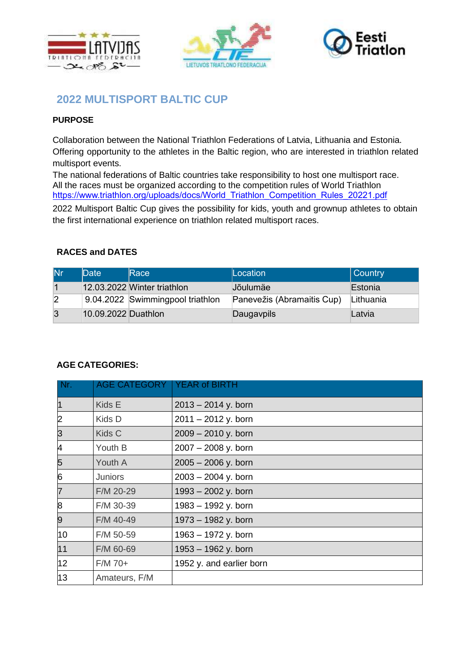





# **2022 MULTISPORT BALTIC CUP**

## **PURPOSE**

Collaboration between the National Triathlon Federations of Latvia, Lithuania and Estonia. Offering opportunity to the athletes in the Baltic region, who are interested in triathlon related multisport events.

The national federations of Baltic countries take responsibility to host one multisport race. All the races must be organized according to the competition rules of World Triathlon [https://www.triathlon.org/uploads/docs/World\\_Triathlon\\_Competition\\_Rules\\_20221.pdf](https://www.triathlon.org/uploads/docs/World_Triathlon_Competition_Rules_20221.pdf)

2022 Multisport Baltic Cup gives the possibility for kids, youth and grownup athletes to obtain the first international experience on triathlon related multisport races.

## **RACES and DATES**

| lNr.           | Date                | Race                             | Location <sup>1</sup>      | Country   |
|----------------|---------------------|----------------------------------|----------------------------|-----------|
|                |                     | 12.03.2022 Winter triathlon      | <b>Jõulumäe</b>            | Estonia   |
| $\overline{2}$ |                     | 9.04.2022 Swimmingpool triathlon | Panevežis (Abramaitis Cup) | Lithuania |
| 3              | 10.09.2022 Duathlon |                                  | Daugavpils                 | Latvia    |

## **AGE CATEGORIES:**

| Nr.            | AGE CATEGORY   YEAR of BIRTH |                          |
|----------------|------------------------------|--------------------------|
| $\overline{1}$ | Kids E                       | $2013 - 2014$ y. born    |
| 2              | Kids D                       | $2011 - 2012$ y. born    |
| 3              | Kids C                       | $2009 - 2010$ y. born    |
| 4              | Youth B                      | 2007 - 2008 y. born      |
| 5              | Youth A                      | $2005 - 2006$ y. born    |
| 6              | <b>Juniors</b>               | $2003 - 2004$ y. born    |
| $\overline{7}$ | F/M 20-29                    | 1993 - 2002 y. born      |
| 8              | F/M 30-39                    | 1983 - 1992 y. born      |
| 9              | F/M 40-49                    | 1973 - 1982 y. born      |
| 10             | F/M 50-59                    | 1963 - 1972 y. born      |
| 11             | F/M 60-69                    | 1953 - 1962 y. born      |
| 12             | $F/M$ 70+                    | 1952 y. and earlier born |
| 13             | Amateurs, F/M                |                          |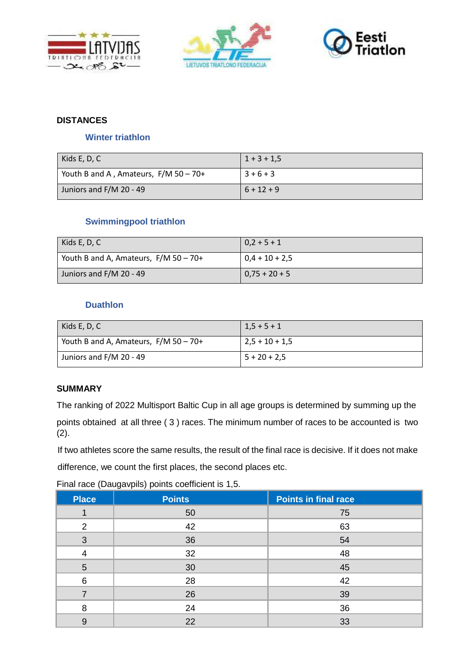





# **DISTANCES**

#### **Winter triathlon**

| Kids E, D, C                            | $1 + 3 + 1.5$ |
|-----------------------------------------|---------------|
| Youth B and A, Amateurs, $F/M$ 50 - 70+ | $3+6+3$       |
| Juniors and F/M 20 - 49                 | $6 + 12 + 9$  |

## **Swimmingpool triathlon**

| Kids E, D, C                            | $  0, 2 + 5 + 1  $  |
|-----------------------------------------|---------------------|
| Youth B and A, Amateurs, $F/M$ 50 - 70+ | $  0,4 + 10 + 2,5$  |
| Juniors and F/M 20 - 49                 | $  0.75 + 20 + 5  $ |

### **Duathlon**

| Kids E, D, C                          | $1,5+5+1$        |
|---------------------------------------|------------------|
| Youth B and A, Amateurs, F/M 50 - 70+ | $2,5 + 10 + 1,5$ |
| Juniors and F/M 20 - 49               | $5 + 20 + 2.5$   |

## **SUMMARY**

The ranking of 2022 Multisport Baltic Cup in all age groups is determined by summing up the points obtained at all three ( 3 ) races. The minimum number of races to be accounted is two (2).

If two athletes score the same results, the result of the final race is decisive. If it does not make

difference, we count the first places, the second places etc.

Final race (Daugavpils) points coefficient is 1,5.

| <b>Place</b>  | <b>Points</b> | <b>Points in final race</b> |
|---------------|---------------|-----------------------------|
|               | 50            | 75                          |
| $\mathcal{P}$ | 42            | 63                          |
| 3             | 36            | 54                          |
|               | 32            | 48                          |
| 5             | 30            | 45                          |
| 6             | 28            | 42                          |
|               | 26            | 39                          |
| 8             | 24            | 36                          |
| 9             | 22            | 33                          |